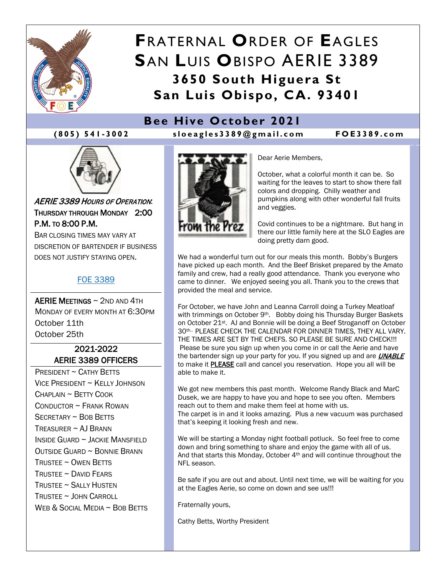

# **F**RATERNAL **O**RDER OF **E**AGLES **S**AN **L**UIS **O**BISPO AERIE 3389 **3650 South Higuera St San Luis Obispo, CA. 93401**

## **Bee Hive October 2021**





AERIE 3389 HOURS OF OPERATION: THURSDAY THROUGH MONDAY 2:00 P.M. TO 8:00 P.M.

BAR CLOSING TIMES MAY VARY AT DISCRETION OF BARTENDER IF BUSINESS DOES NOT JUSTIFY STAYING OPEN.

#### [FOE 3389](https://foe3389.com/)

AERIE MEETINGS ~ 2ND AND 4TH MONDAY OF EVERY MONTH AT 6:30PM October 11th October 25th

### 2021-2022 AERIE 3389 OFFICERS

PRESIDENT ~ CATHY BETTS VICE PRESIDENT ~ KELLY JOHNSON  $CHAPI$  AIN  $\sim$  BFTTY COOK CONDUCTOR ~ FRANK ROWAN SECRETARY ~ BOB BETTS TREASURER  $\sim$  AJ BRANN INSIDE GUARD ~ JACKIE MANSFIELD OUTSIDE GUARD ~ BONNIE BRANN TRUSTEE ~ OWEN BETTS TRUSTEE ~ DAVID FEARS TRUSTEE ~ SALLY HUSTEN TRUSTEE ~ JOHN CARROLL WEB & SOCIAL MEDIA ~ BOB BETTS



Dear Aerie Members,

October, what a colorful month it can be. So waiting for the leaves to start to show there fall colors and dropping. Chilly weather and pumpkins along with other wonderful fall fruits and veggies.

Covid continues to be a nightmare. But hang in there our little family here at the SLO Eagles are doing pretty darn good.

We had a wonderful turn out for our meals this month. Bobby's Burgers have picked up each month. And the Beef Brisket prepared by the Amato family and crew, had a really good attendance. Thank you everyone who came to dinner. We enjoyed seeing you all. Thank you to the crews that provided the meal and service.

For October, we have John and Leanna Carroll doing a Turkey Meatloaf with trimmings on October 9<sup>th</sup>. Bobby doing his Thursday Burger Baskets on October 21st. AJ and Bonnie will be doing a Beef Stroganoff on October 30th.. PLEASE CHECK THE CALENDAR FOR DINNER TIMES, THEY ALL VARY. THE TIMES ARE SET BY THE CHEFS. SO PLEASE BE SURE AND CHECK!!! Please be sure you sign up when you come in or call the Aerie and have the bartender sign up your party for you. If you signed up and are **UNABLE** to make it **PLEASE** call and cancel you reservation. Hope you all will be able to make it.

We got new members this past month. Welcome Randy Black and MarC Dusek, we are happy to have you and hope to see you often. Members reach out to them and make them feel at home with us. The carpet is in and it looks amazing. Plus a new vacuum was purchased that's keeping it looking fresh and new.

We will be starting a Monday night football potluck. So feel free to come down and bring something to share and enjoy the game with all of us. And that starts this Monday, October 4<sup>th</sup> and will continue throughout the NFL season.

Be safe if you are out and about. Until next time, we will be waiting for you at the Eagles Aerie, so come on down and see us!!!

Fraternally yours,

Cathy Betts, Worthy President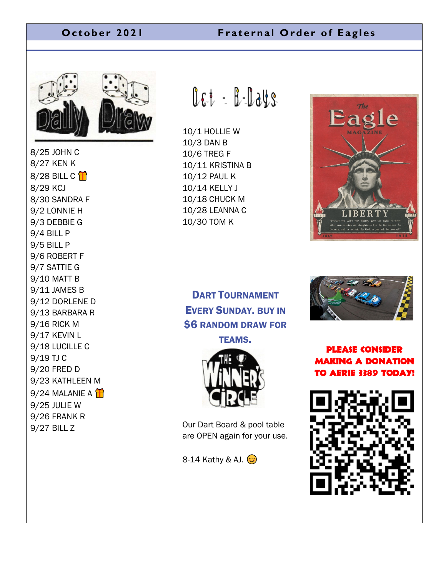### **October 2021 Fraternal Order of Eagles**



8/25 JOHN C 8/27 KEN K 8/28 BILL C  $\mathbf{\hat{H}}$ 8/29 KCJ 8/30 SANDRA F 9/2 LONNIE H 9/3 DEBBIE G 9/4 BILL P 9/5 BILL P 9/6 ROBERT F 9/7 SATTIE G 9/10 MATT B 9/11 JAMES B 9/12 DORLENE D 9/13 BARBARA R 9/16 RICK M 9/17 KEVIN L 9/18 LUCILLE C 9/19 TJ C 9/20 FRED D 9/23 KATHLEEN M  $9/24$  MALANIE A  $\bigoplus$ 9/25 JULIE W 9/26 FRANK R 9/27 BILL Z

 $0.67 - 0.008$ 

10/1 HOLLIE W 10/3 DAN B 10/6 TREG F 10/11 KRISTINA B 10/12 PAUL K 10/14 KELLY J 10/18 CHUCK M 10/28 LEANNA C 10/30 TOM K



# DART TOURNAMENT EVERY SUNDAY. BUY IN **\$6 RANDOM DRAW FOR**

TEAMS.



Our Dart Board & pool table are OPEN again for your use.

 $8-14$  Kathy & AJ.  $\odot$ 



Please consider making a donation to Aerie 3389 today!

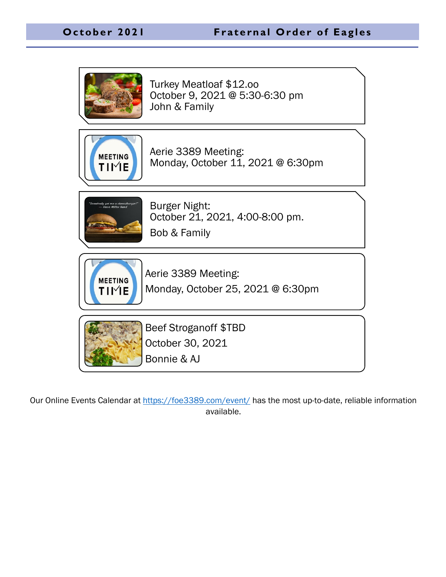

Our Online Events Calendar at<https://foe3389.com/event/> has the most up-to-date, reliable information available.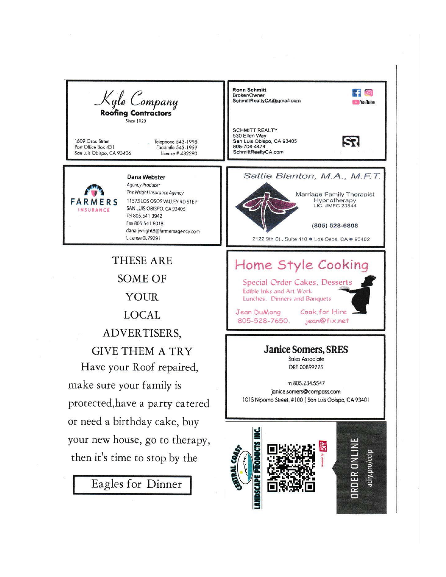